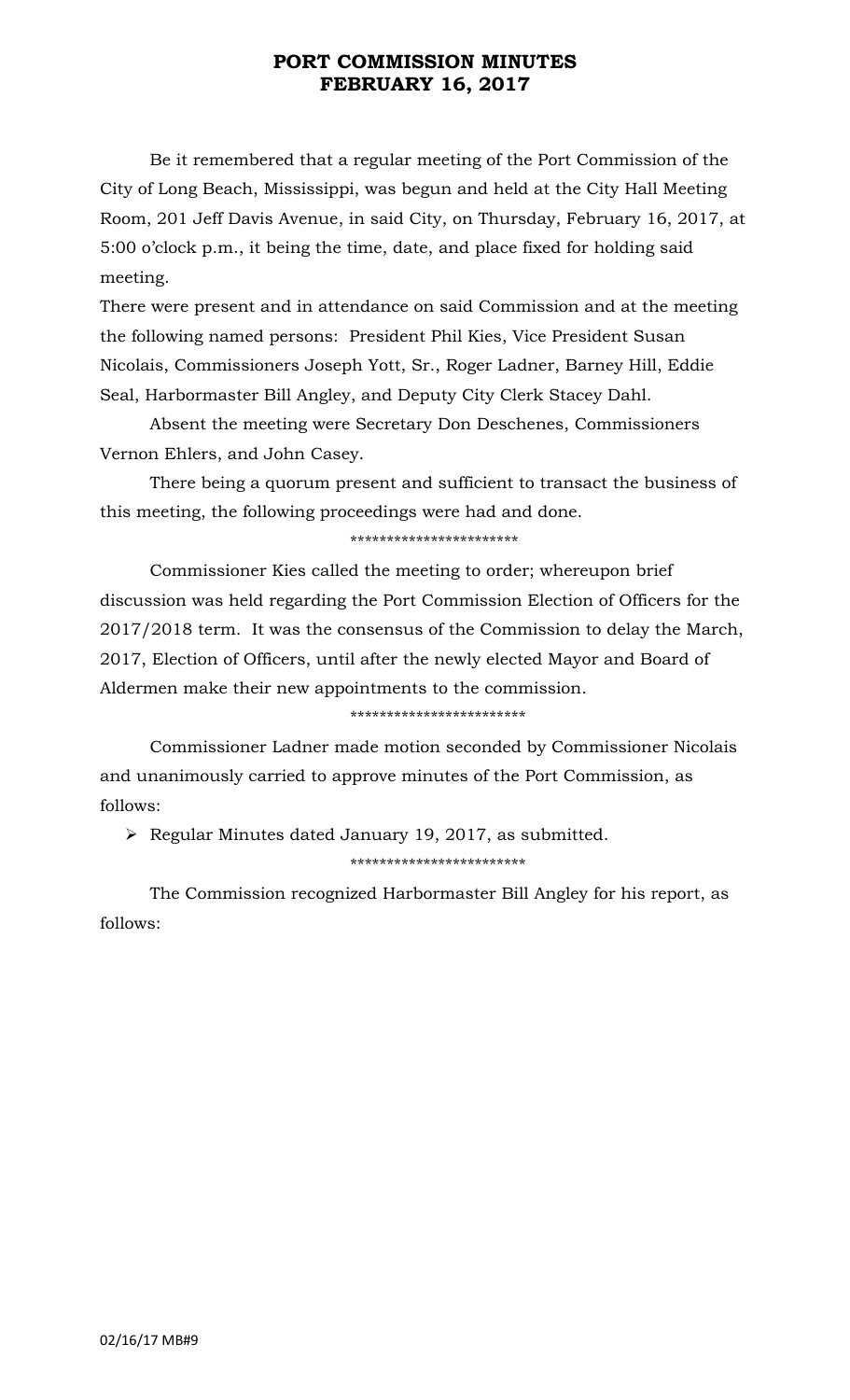## **PORT COMMISSION MINUTES FEBRUARY 16, 2017**

Be it remembered that a regular meeting of the Port Commission of the City of Long Beach, Mississippi, was begun and held at the City Hall Meeting Room, 201 Jeff Davis Avenue, in said City, on Thursday, February 16, 2017, at 5:00 o'clock p.m., it being the time, date, and place fixed for holding said meeting.

There were present and in attendance on said Commission and at the meeting the following named persons: President Phil Kies, Vice President Susan Nicolais, Commissioners Joseph Yott, Sr., Roger Ladner, Barney Hill, Eddie Seal, Harbormaster Bill Angley, and Deputy City Clerk Stacey Dahl.

Absent the meeting were Secretary Don Deschenes, Commissioners Vernon Ehlers, and John Casey.

There being a quorum present and sufficient to transact the business of this meeting, the following proceedings were had and done.

### \*\*\*\*\*\*\*\*\*\*\*\*\*\*\*\*\*\*\*\*\*\*\*

Commissioner Kies called the meeting to order; whereupon brief discussion was held regarding the Port Commission Election of Officers for the 2017/2018 term. It was the consensus of the Commission to delay the March, 2017, Election of Officers, until after the newly elected Mayor and Board of Aldermen make their new appointments to the commission.

#### \*\*\*\*\*\*\*\*\*\*\*\*\*\*\*\*\*\*\*\*\*\*\*\*

Commissioner Ladner made motion seconded by Commissioner Nicolais and unanimously carried to approve minutes of the Port Commission, as follows:

 $\triangleright$  Regular Minutes dated January 19, 2017, as submitted.

### \*\*\*\*\*\*\*\*\*\*\*\*\*\*\*\*\*\*\*\*\*\*\*\*

The Commission recognized Harbormaster Bill Angley for his report, as follows: